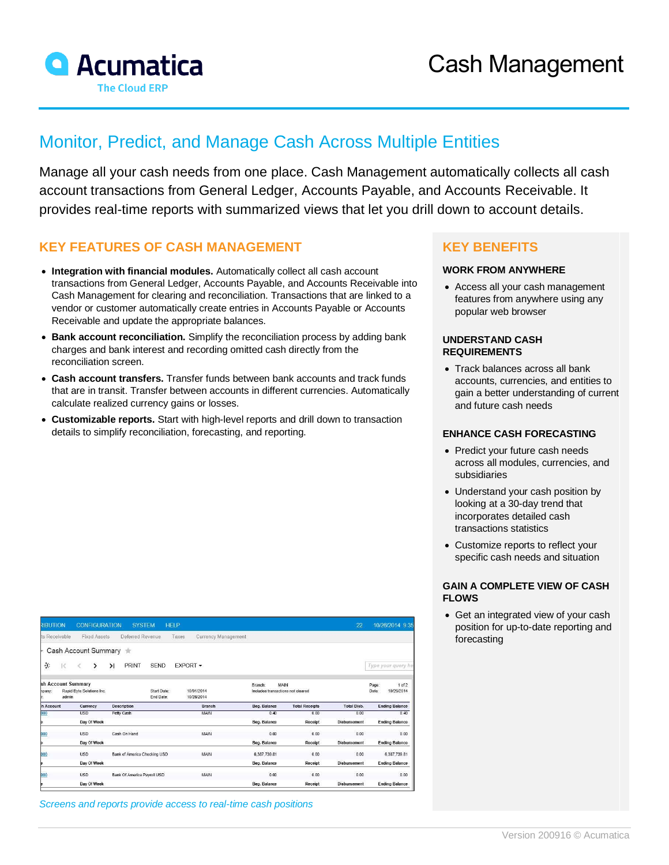

# Monitor, Predict, and Manage Cash Across Multiple Entities

Manage all your cash needs from one place. Cash Management automatically collects all cash account transactions from General Ledger, Accounts Payable, and Accounts Receivable. It provides real-time reports with summarized views that let you drill down to account details.

## **KEY FEATURES OF CASH MANAGEMENT**

- **Integration with financial modules.** Automatically collect all cash account transactions from General Ledger, Accounts Payable, and Accounts Receivable into Cash Management for clearing and reconciliation. Transactions that are linked to a vendor or customer automatically create entries in Accounts Payable or Accounts Receivable and update the appropriate balances.
- **Bank account reconciliation.** Simplify the reconciliation process by adding bank charges and bank interest and recording omitted cash directly from the reconciliation screen.
- **Cash account transfers.** Transfer funds between bank accounts and track funds that are in transit. Transfer between accounts in different currencies. Automatically calculate realized currency gains or losses.
- **Customizable reports.** Start with high-level reports and drill down to transaction details to simplify reconciliation, forecasting, and reporting.

| RIBUTION                                                                                       |              | <b>CONFIGURATION</b> |           | <b>SYSTEM</b>                      |                          | <b>HELP</b>   |                                           |                       | 22                                                            | 10/26/2014 9:35       |
|------------------------------------------------------------------------------------------------|--------------|----------------------|-----------|------------------------------------|--------------------------|---------------|-------------------------------------------|-----------------------|---------------------------------------------------------------|-----------------------|
| ts Receivable                                                                                  |              | <b>Fixed Assets</b>  |           | Deferred Revenue                   |                          | Taxes         | Currency Management                       |                       |                                                               |                       |
|                                                                                                |              | Cash Account Summary |           | <b>SIL</b>                         |                          |               |                                           |                       |                                                               |                       |
| ਣ                                                                                              | $\mathbb{R}$ | Ł<br>ゝ               | $\lambda$ | <b>PRINT</b>                       | <b>SEND</b>              | EXPORT -      |                                           |                       |                                                               | Type your guery he    |
| sh Account Summary<br>Rapid Byte Solutions Inc.<br>Start Date:<br>hpany:<br>admin<br>End Date: |              |                      |           |                                    | 10/01/2014<br>10/26/2014 | Branch:       | MAIN<br>Includes transactions not cleared |                       | 1 <sub>0</sub> f <sub>2</sub><br>Page:<br>10/26/2014<br>Date: |                       |
| h Account                                                                                      |              | Currency             |           | <b>Description</b>                 |                          | <b>Branch</b> | Beg. Balance                              | <b>Total Receipts</b> | <b>Total Disb.</b>                                            | <b>Ending Balance</b> |
| 000                                                                                            |              | <b>USD</b>           |           | Petty Cash                         |                          | <b>MAIN</b>   | 0.40                                      | 0.00                  | 0.00                                                          | 0.40                  |
|                                                                                                |              | Day Of Week          |           |                                    |                          |               | Beg. Balance                              | Receipt               | <b>Disbursement</b>                                           | <b>Ending Balance</b> |
| 000                                                                                            |              | <b>USD</b>           |           | Cash On Hand                       |                          | MAIN          | 0.00                                      | 0.00                  | 0.00                                                          | 0.00                  |
|                                                                                                |              | Day Of Week          |           |                                    |                          |               | Beg. Balance                              | Receipt               | <b>Disbursement</b>                                           | <b>Ending Balance</b> |
| 000                                                                                            |              | <b>USD</b>           |           | Bank of America Checking USD       |                          | MAIN          | 6,387,739.81                              | 0.00                  | 0.00                                                          | 6,387,739.81          |
|                                                                                                |              | Day Of Week          |           |                                    |                          |               | Beg. Balance                              | Receipt               | Disbursement                                                  | <b>Ending Balance</b> |
| <b>poo</b>                                                                                     |              | <b>USD</b>           |           | <b>Bank Of America Pavroll USD</b> |                          | MAIN          | 0.00                                      | 0.00                  | 0.00                                                          | 0.00                  |
|                                                                                                |              | Day Of Week          |           |                                    |                          |               | Beg. Balance                              | Receipt               | <b>Disbursement</b>                                           | <b>Ending Balance</b> |

*Screens and reports provide access to real-time cash positions*

### **KEY BENEFITS**

#### **WORK FROM ANYWHERE**

• Access all your cash management features from anywhere using any popular web browser

#### **UNDERSTAND CASH REQUIREMENTS**

• Track balances across all bank accounts, currencies, and entities to gain a better understanding of current and future cash needs

#### **ENHANCE CASH FORECASTING**

- Predict your future cash needs across all modules, currencies, and subsidiaries
- Understand your cash position by looking at a 30-day trend that incorporates detailed cash transactions statistics
- Customize reports to reflect your specific cash needs and situation

#### **GAIN A COMPLETE VIEW OF CASH FLOWS**

• Get an integrated view of your cash position for up-to-date reporting and forecasting